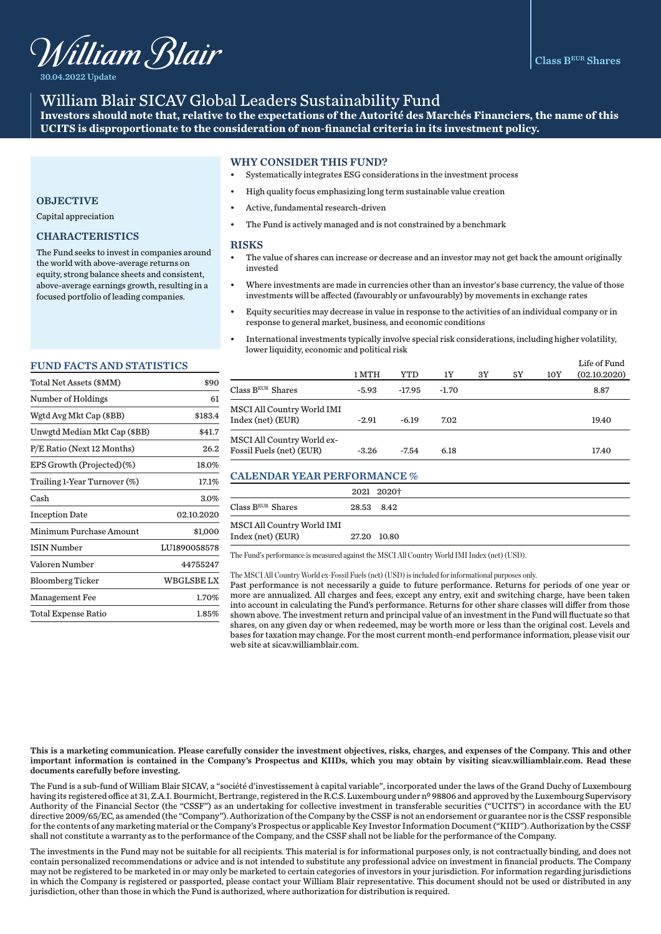

30.04.2022 Update

# William Blair SICAV Global Leaders Sustainability Fund

**Investors should note that, relative to the expectations of the Autorité des Marchés Financiers, the name of this UCITS is disproportionate to the consideration of non-financial criteria in its investment policy.** 

## WHY CONSIDER THIS FUND?

- Systematically integrates ESG considerations in the investment process
- High quality focus emphasizing long term sustainable value creation
- Active, fundamental research-driven
- The Fund is actively managed and is not constrained by a benchmark

#### **RISKS**

- The value of shares can increase or decrease and an investor may not get back the amount originally invested
- Where investments are made in currencies other than an investor's base currency, the value of those investments will be affected (favourably or unfavourably) by movements in exchange rates
- Equity securities may decrease in value in response to the activities of an individual company or in response to general market, business, and economic conditions
- International investments typically involve special risk considerations, including higher volatility, lower liquidity, economic and political risk

|                                                        | 1 MTH   | YTD      | 1Y      | 3Y | 5Y | 10Y | Life of Fund<br>(02.10.2020) |
|--------------------------------------------------------|---------|----------|---------|----|----|-----|------------------------------|
| $Class BEUR$ Shares                                    | -5.93   | $-17.95$ | $-1.70$ |    |    |     | 8.87                         |
| MSCI All Country World IMI<br>Index (net) (EUR)        | $-2.91$ | $-6.19$  | 7.02    |    |    |     | 19.40                        |
| MSCI All Country World ex-<br>Fossil Fuels (net) (EUR) | $-3.26$ | $-7.54$  | 6.18    |    |    |     | 17.40                        |

## CALENDAR YEAR PERFORMANCE %

|                              | 2021 2020†  |
|------------------------------|-------------|
| $\rm Class\,B^{EUR}\,Shares$ | 28.53 8.42  |
| MSCI All Country World IMI   |             |
| Index (net) (EUR)            | 27.20 10.80 |

The Fund's performance is measured against the MSCI All Country World IMI Index (net) (USD).

The MSCI All Country World ex-Fossil Fuels (net) (USD) is included for informational purposes only.

Past performance is not necessarily a guide to future performance. Returns for periods of one year or more are annualized. All charges and fees, except any entry, exit and switching charge, have been taken into account in calculating the Fund's performance. Returns for other share classes will differ from those shown above. The investment return and principal value of an investment in the Fund will fluctuate so that shares, on any given day or when redeemed, may be worth more or less than the original cost. Levels and bases for taxation may change. For the most current month-end performance information, please visit our web site at sicav.williamblair.com.

## **OBJECTIVE**

Capital appreciation

## CHARACTERISTICS

The Fund seeks to invest in companies around the world with above-average returns on equity, strong balance sheets and consistent, above-average earnings growth, resulting in a focused portfolio of leading companies.

#### FUND FACTS AND STATISTICS

| Total Net Assets (\$MM)      | \$90         |
|------------------------------|--------------|
| Number of Holdings           | 61           |
| Wgtd Avg Mkt Cap (\$BB)      | \$183.4      |
| Unwgtd Median Mkt Cap (\$BB) | \$41.7       |
| P/E Ratio (Next 12 Months)   | 26.2         |
| EPS Growth (Projected)(%)    | 18.0%        |
| Trailing 1-Year Turnover (%) | 17.1%        |
| Cash                         | 3.0%         |
| <b>Inception Date</b>        | 02.10.2020   |
| Minimum Purchase Amount      | \$1,000      |
| <b>ISIN Number</b>           | LU1890058578 |
| Valoren Number               | 44755247     |
| <b>Bloomberg Ticker</b>      | WBGLSBE LX   |
| <b>Management Fee</b>        | 1.70%        |
| Total Expense Ratio          | 1.85%        |
|                              |              |

This is a marketing communication. Please carefully consider the investment objectives, risks, charges, and expenses of the Company. This and other important information is contained in the Company's Prospectus and KIIDs, which you may obtain by visiting sicav.williamblair.com. Read these documents carefully before investing.

The Fund is a sub-fund of William Blair SICAV, a "société d'investissement à capital variable", incorporated under the laws of the Grand Duchy of Luxembourg having its registered office at 31, Z.A.I. Bourmicht, Bertrange, registered in the R.C.S. Luxembourg under nº 98806 and approved by the Luxembourg Supervisory Authority of the Financial Sector (the "CSSF") as an undertaking for collective investment in transferable securities ("UCITS") in accordance with the EU directive 2009/65/EC, as amended (the "Company"). Authorization of the Company by the CSSF is not an endorsement or guarantee nor is the CSSF responsible for the contents of any marketing material or the Company's Prospectus or applicable Key Investor Information Document ("KIID"). Authorization by the CSSF shall not constitute a warranty as to the performance of the Company, and the CSSF shall not be liable for the performance of the Company.

The investments in the Fund may not be suitable for all recipients. This material is for informational purposes only, is not contractually binding, and does not contain personalized recommendations or advice and is not intended to substitute any professional advice on investment in financial products. The Company may not be registered to be marketed in or may only be marketed to certain categories of investors in your jurisdiction. For information regarding jurisdictions in which the Company is registered or passported, please contact your William Blair representative. This document should not be used or distributed in any jurisdiction, other than those in which the Fund is authorized, where authorization for distribution is required.